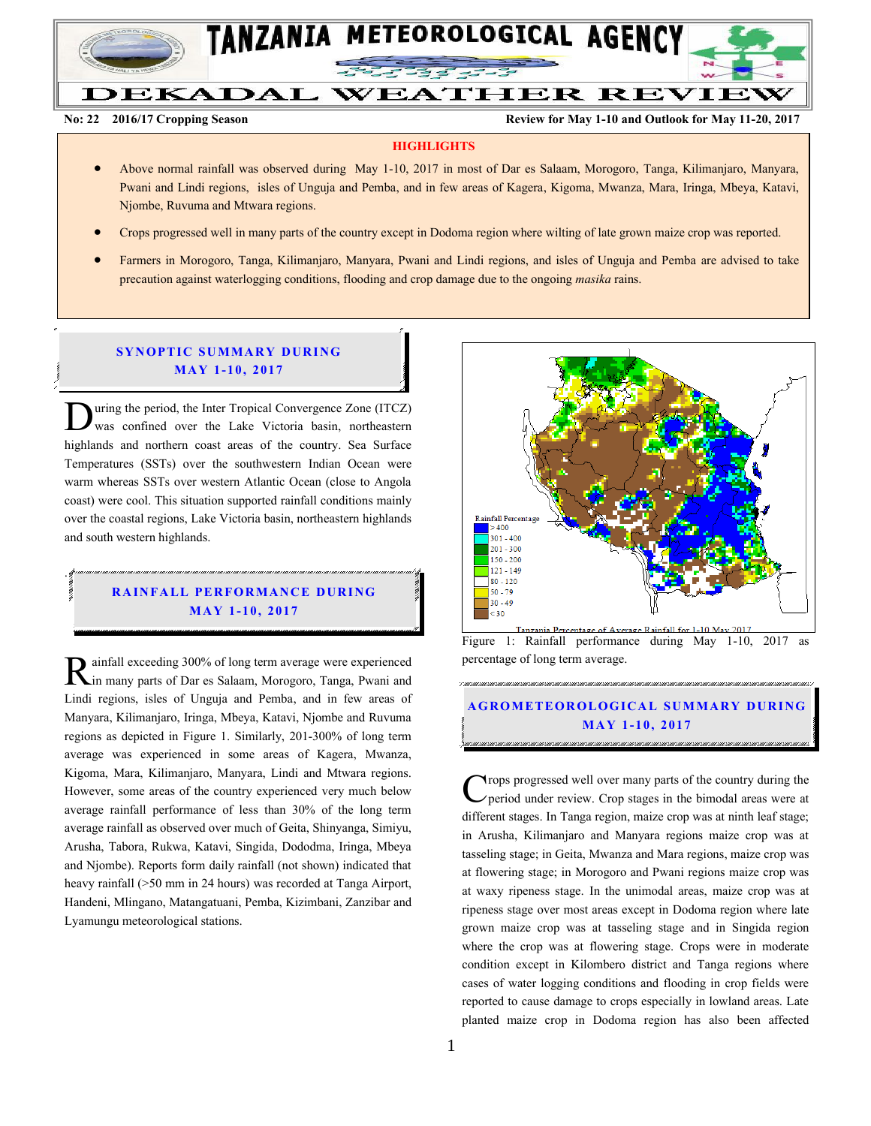

.

# DEKADAL WEATHER REVIEW

**No: 22 2016/17 Cropping Season Review for May 1-10 and Outlook for May 11-20, 2017**

#### **HIGHLIGHTS**

- Above normal rainfall was observed during May 1-10, 2017 in most of Dar es Salaam, Morogoro, Tanga, Kilimanjaro, Manyara, Pwani and Lindi regions, isles of Unguja and Pemba, and in few areas of Kagera, Kigoma, Mwanza, Mara, Iringa, Mbeya, Katavi, Njombe, Ruvuma and Mtwara regions.
- Crops progressed well in many parts of the country except in Dodoma region where wilting of late grown maize crop was reported.
- Farmers in Morogoro, Tanga, Kilimanjaro, Manyara, Pwani and Lindi regions, and isles of Unguja and Pemba are advised to take precaution against waterlogging conditions, flooding and crop damage due to the ongoing *masika* rains.

### **SYNOPTIC SUMMARY DURING MA Y 1- 10, 2017**

uring the period, the Inter Tropical Convergence Zone (ITCZ) was confined over the Lake Victoria basin, northeastern **h**uring the period, the Inter Tropical Convergence Zone (ITCZ) was confined over the Lake Victoria basin, northeastern highlands and northern coast areas of the country. Sea Surface Temperatures (SSTs) over the southwestern Indian Ocean were warm whereas SSTs over western Atlantic Ocean (close to Angola coast) were cool. This situation supported rainfall conditions mainly over the coastal regions, Lake Victoria basin, northeastern highlands and south western highlands.

## **R A IN FA LL PER FO R MAN C E D UR ING MA Y 1- 10, 2017**

ainfall exceeding 300% of long term average were experienced Rainfall exceeding 300% of long term average were experienced<br>
In many parts of Dar es Salaam, Morogoro, Tanga, Pwani and Lindi regions, isles of Unguja and Pemba, and in few areas of Manyara, Kilimanjaro, Iringa, Mbeya, Katavi, Njombe and Ruvuma regions as depicted in Figure 1. Similarly, 201-300% of long term average was experienced in some areas of Kagera, Mwanza, Kigoma, Mara, Kilimanjaro, Manyara, Lindi and Mtwara regions. However, some areas of the country experienced very much below average rainfall performance of less than 30% of the long term average rainfall as observed over much of Geita, Shinyanga, Simiyu, Arusha, Tabora, Rukwa, Katavi, Singida, Dododma, Iringa, Mbeya and Njombe). Reports form daily rainfall (not shown) indicated that heavy rainfall (>50 mm in 24 hours) was recorded at Tanga Airport, Handeni, Mlingano, Matangatuani, Pemba, Kizimbani, Zanzibar and Lyamungu meteorological stations.



of Average Rainfall for 1-10 May Figure 1: Rainfall performance during May 1-10, 2017 as percentage of long term average.

## **A G RO METEO R O LOG ICA L SU MMA RY D UR ING MA Y 1- 10, 2017**

rops progressed well over many parts of the country during the period under review. Crop stages in the bimodal areas were at different stages. In Tanga region, maize crop was at ninth leaf stage; in Arusha, Kilimanjaro and Manyara regions maize crop was at tasseling stage; in Geita, Mwanza and Mara regions, maize crop was at flowering stage; in Morogoro and Pwani regions maize crop was at waxy ripeness stage. In the unimodal areas, maize crop was at ripeness stage over most areas except in Dodoma region where late grown maize crop was at tasseling stage and in Singida region where the crop was at flowering stage. Crops were in moderate condition except in Kilombero district and Tanga regions where cases of water logging conditions and flooding in crop fields were reported to cause damage to crops especially in lowland areas. Late planted maize crop in Dodoma region has also been affected C